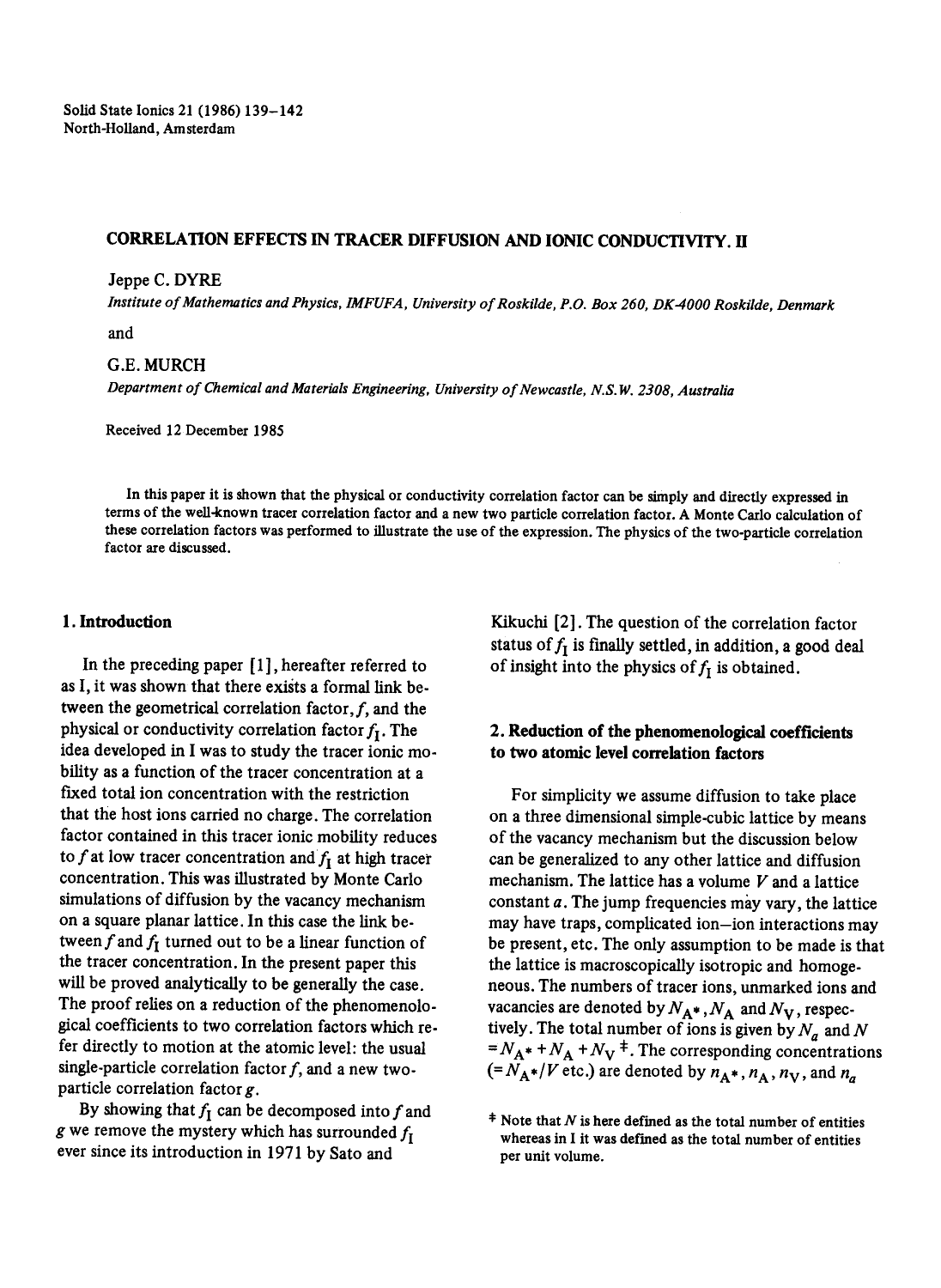# CORRELATION EFFECTS IN TRACER DIFFUSION AND IONIC CONDUCTIVITY. H

#### Jeppe C. DYRE

*Institute of Mathematics and Physics, IMFUFA, University of Roskilde, P.O. Box 260, DK-4000 Roskilde, Denmark* 

*and* 

### G.E. MURCH

*Department of Chemical and Materials Engineering, University of Newcastle, N.S.W. 2308, Australia* 

Received 12 December 1985

In this paper it is shown that the physical or conductivity correlation factor can be simply and directly expressed in terms of the well-known tracer correlation factor and a new two particle correlation factor. A Monte Carlo calculation of these correlation factors was performed to illustrate the use of the expression. The physics of the two-particle correlation factor are discussed.

### 1. Introduction

In the preceding paper [1], hereafter referred to as I, it was shown that there exists a formal link between the geometrical correlation factor,  $f$ , and the physical or conductivity correlation factor  $f_I$ . The idea developed in I was to study the tracer ionic mobility as a function of the tracer concentration at a fixed total ion concentration with the restriction that the host ions carried no charge. The correlation factor contained in this tracer ionic mobility reduces to f at low tracer concentration and  $f<sub>I</sub>$  at high tracer concentration. This was illustrated by Monte Carlo simulations of diffusion by the vacancy mechanism on a square planar lattice. In this case the link between f and  $f_I$  turned out to be a linear function of the tracer concentration. In the present paper this will be proved analytically to be generally the case. The proof relies on a reduction of the phenomenological coefficients to two correlation factors which refer directly to motion at the atomic level: the usual single-particle correlation factor  $f$ , and a new twoparticle correlation factor g.

By showing that  $f_I$  can be decomposed into f and g we remove the mystery which has surrounded  $f_I$ ever since its introduction in 1971 by Sate and

Kikuchi [2]. The question of the correlation factor status of  $f_I$  is finally settled, in addition, a good deal of insight into the physics of  $f_I$  is obtained.

# **2. Reduction of the phenomenological coefficients to two atomic level correlation factors**

For simplicity we assume diffusion to take place on a three dimensional simple.cubic lattice by means of the vacancy mechanism but the discussion below can be generalized to any other lattice and diffusion mechanism. The lattice has a volume  $V$  and a lattice constant a. The jump frequencies may vary, the lattice may have traps, complicated ion-ion interactions may be present, etc. The only assumption to be made is that the lattice is macroscopically isotropic and homogeneous. The numbers of tracer ions, unmarked ions and vacancies are denoted by  $N_{A^*}$ ,  $N_A$  and  $N_V$ , respectively. The total number of ions is given by  $N_a$  and N  $=N_A^* + N_A + N_V^*$ . The corresponding concentrations  $(=N_A*/V$  etc.) are denoted by  $n_A$ ,  $n_A$ ,  $n_V$ , and  $n_a$ 

<sup>\*</sup> Note that N is here defined as the total number of **entities**  whereas in I it was defined as the total number of entities per unit volume.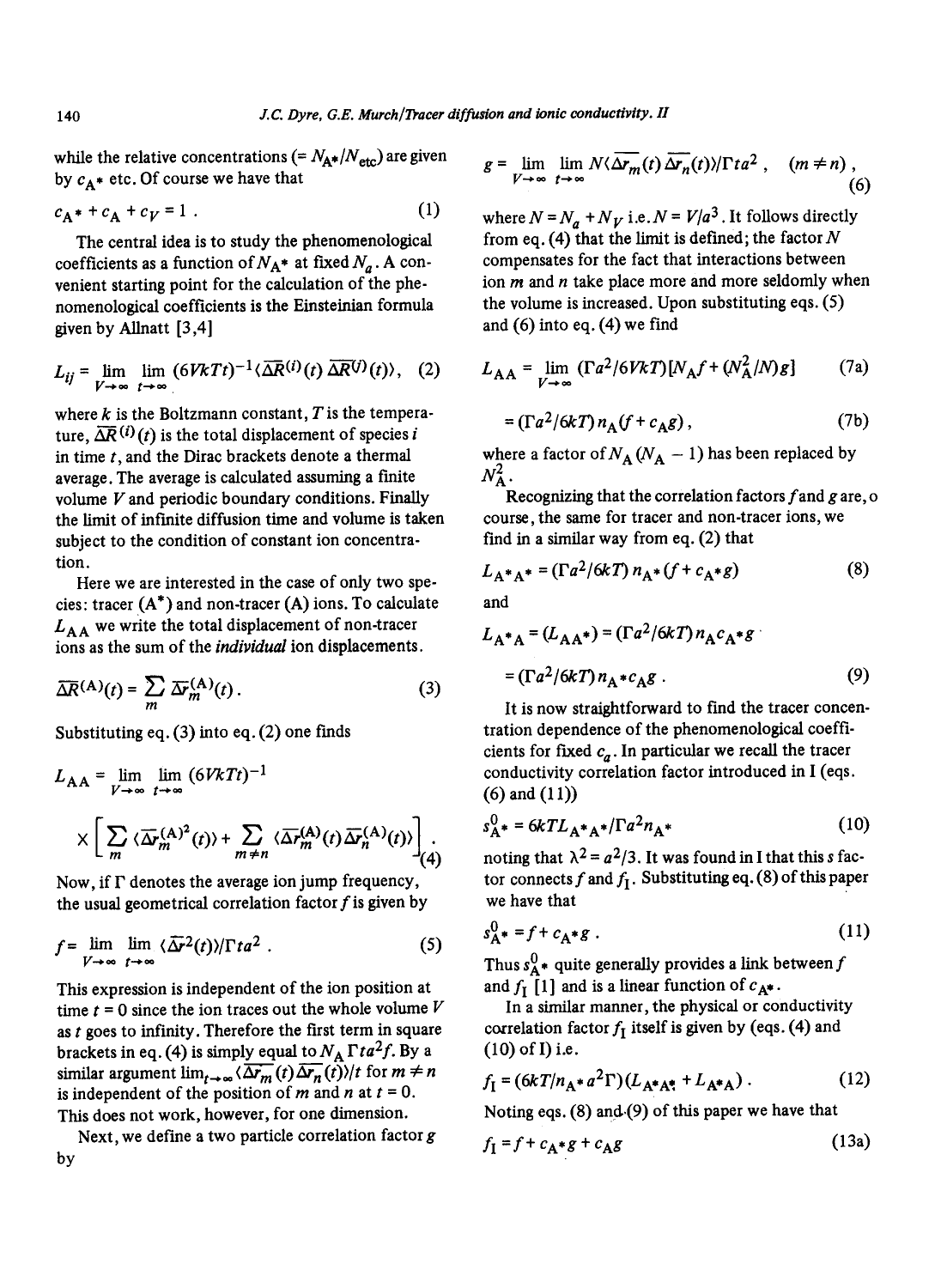while the relative concentrations (=  $N_{A*}/N_{\text{etc}}$ ) are given by  $c_A$  etc. Of course we have that

$$
c_{A^*} + c_A + c_V = 1 \tag{1}
$$

The central idea is to study the phenomenological coefficients as a function of  $N_A^*$  at fixed  $N_a$ . A convenient starting point for the calculation of the phenomenological coefficients is the Einsteinian formula given by Allnatt  $[3,4]$ 

$$
L_{ij} = \lim_{V \to \infty} \lim_{t \to \infty} (6VkTt)^{-1} \langle \overline{\Delta R}^{(i)}(t) \overline{\Delta R}^{(j)}(t) \rangle, \quad (2)
$$

where  $k$  is the Boltzmann constant,  $T$  is the temperature,  $\overline{\Delta R}^{(i)}(t)$  is the total displacement of species i in time  $t$ , and the Dirac brackets denote a thermal average. The average is calculated assuming a finite volume  $V$  and periodic boundary conditions. Finally the limit of infinite diffusion time and volume is taken subject to the condition of constant ion concentration.

Here we are interested in the case of only two species: tracer  $(A^*)$  and non-tracer  $(A)$  ions. To calculate  $L_{AA}$  we write the total displacement of non-tracer ions as the sum of the *individual* ion displacements.

$$
\overline{\Delta R}^{(\mathbf{A})}(t) = \sum_{m} \overline{\Delta r}_{m}^{(\mathbf{A})}(t).
$$
 (3)

Substituting eq. (3) into eq. (2) one finds

$$
L_{\text{AA}} = \lim_{V \to \infty} \lim_{t \to \infty} (6VkTt)^{-1}
$$
  
 
$$
\times \left[ \sum_{m} \langle \overline{\Delta r}_{m}^{(\text{A})^{2}}(t) \rangle + \sum_{m \neq n} \langle \overline{\Delta r}_{m}^{(\text{A})}(t) \overline{\Delta r}_{n}^{(\text{A})}(t) \rangle \right] (4)
$$

Now, if  $\Gamma$  denotes the average ion jump frequency, the usual geometrical correlation factor  $f$  is given by

$$
f = \lim_{V \to \infty} \lim_{t \to \infty} \langle \overline{\Delta r}^2(t) \rangle / \Gamma t a^2 . \tag{5}
$$

This expression is independent of the ion position at time  $t = 0$  since the ion traces out the whole volume  $V$ as  $t$  goes to infinity. Therefore the first term in square brackets in eq. (4) is simply equal to  $N_A \Gamma t a^2 f$ . By a similar argument  $\lim_{t\to\infty} \langle \overline{\Delta r_m}(t)\overline{\Delta r_n}(t)\rangle/t$  for  $m \neq n$ is independent of the position of m and n at  $t = 0$ . This does not work, however, for one dimension.

Next, we define a two particle correlation factor  $g$ by

$$
g = \lim_{V \to \infty} \lim_{t \to \infty} N \langle \overline{\Delta r_m}(t) \overline{\Delta r_n}(t) \rangle / \Gamma t a^2 , \quad (m \neq n) , \tag{6}
$$

where  $N = N_a + N_V$  i.e.  $N = V/a^3$ . It follows directly from eq. (4) that the limit is defined; the factor  $N$ compensates for the fact that interactions between ion  $m$  and  $n$  take place more and more seldomly when the volume is increased. Upon substituting eqs. (5) and (6) into eq. (4) we find

$$
L_{AA} = \lim_{V \to \infty} (\Gamma a^2 / 6V k T) [N_A f + (N_A^2 / N) g]
$$
 (7a)

$$
= (\Gamma a^2 / 6kT) n_A (f + c_A g) , \qquad (7b)
$$

where a factor of  $N_A (N_A - 1)$  has been replaced by  $N_A^2$ .

Recognizing that the correlation factors  $f$  and  $g$  are,  $o$ course, the same for tracer and non-tracer ions, we find in a similar way from eq. (2) that

$$
L_{A^*A^*} = (\Gamma a^2 / 6kT) n_{A^*} (f + c_{A^*}g)
$$
 (8)

and

$$
L_{A^*A} = (L_{AA^*}) = (\Gamma a^2 / 6kT) n_A c_A * g
$$
  
= (\Gamma a^2 / 6kT) n\_A \* c\_A g. (9)

It is now straightforward to find the tracer concentration dependence of the phenomenological coefficients for fixed  $c_a$ . In particular we recall the tracer conductivity correlation factor introduced in I (eqs. (6) and (11))

$$
s_{A^{*}}^{0} = 6kTL_{A^{*}A^{*}}/\Gamma a^{2}n_{A^{*}}
$$
 (10)

noting that  $\lambda^2 = a^2/3$ . It was found in I that this s factor connects f and  $f_1$ . Substituting eq. (8) of this paper we have that

$$
s_{\mathbf{A}^*}^0 = f + c_{\mathbf{A}^*} g \tag{11}
$$

Thus  $s_A^0$  quite generally provides a link between f and  $f_I$  [1] and is a linear function of  $c_{\mathbf{A}^*}$ .

In a similar manner, the physical or conductivity correlation factor  $f<sub>I</sub>$  itself is given by (eqs. (4) and  $(10)$  of I) i.e.

$$
f_{I} = (6kT/n_{A^*}a^2\Gamma)(L_{A^*A^*} + L_{A^*A}).
$$
 (12)

Noting eqs.  $(8)$  and  $(9)$  of this paper we have that

$$
f_{\mathbf{I}} = f + c_{\mathbf{A}^*}g + c_{\mathbf{A}}g \tag{13a}
$$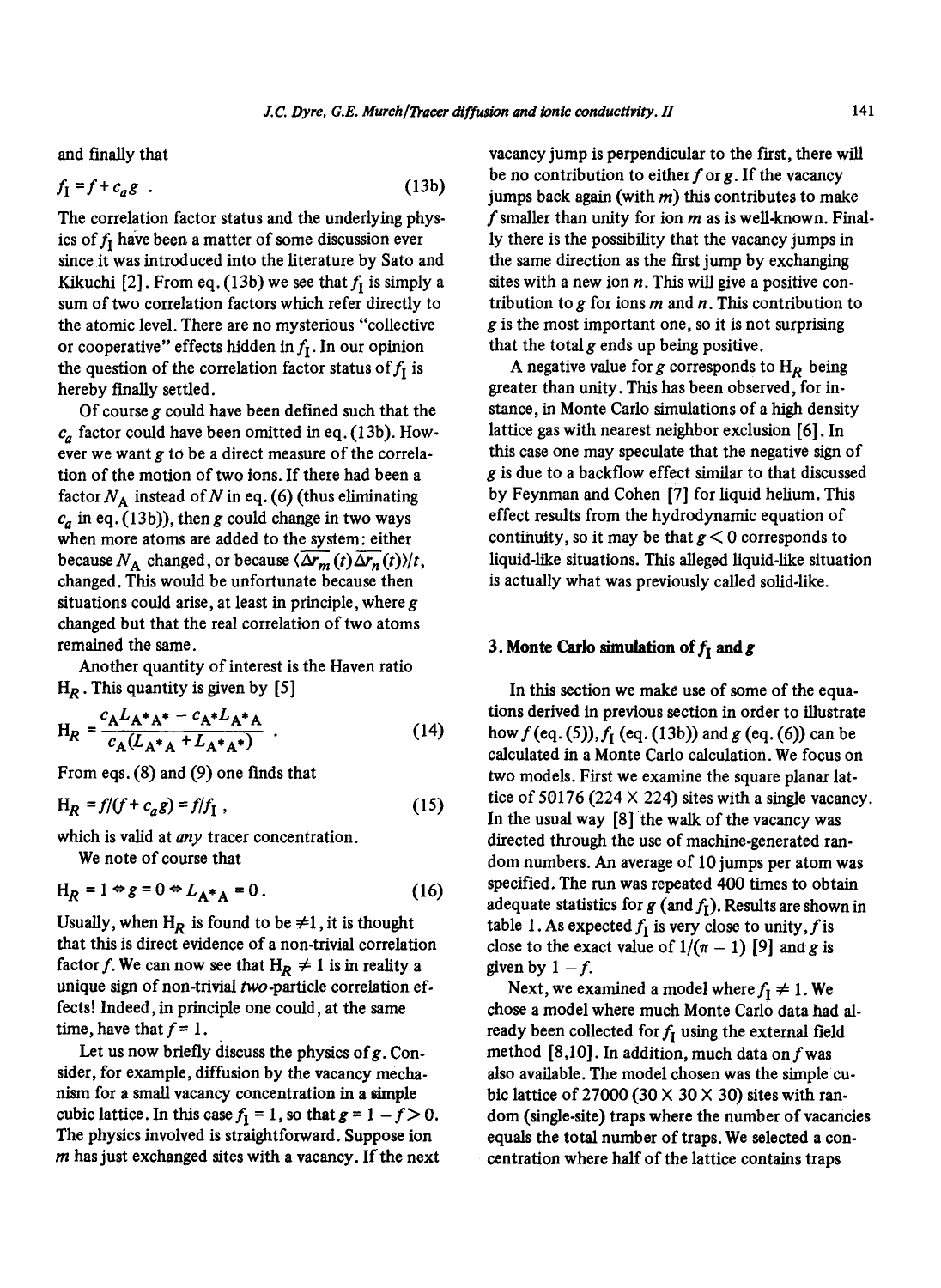and finally that

$$
f_{\rm I} = f + c_a g \tag{13b}
$$

The correlation factor status and the underlying physics of  $f_I$  have been a matter of some discussion ever since it was introduced into the literature by Sato and Kikuchi [2]. From eq. (13b) we see that  $f<sub>I</sub>$  is simply a sum of two correlation factors which refer directly to the atomic level. There are no mysterious "collective or cooperative" effects hidden in  $f_I$ . In our opinion the question of the correlation factor status of  $f_I$  is hereby finally settled.

Of course g could have been defined such that the  $c_a$  factor could have been omitted in eq. (13b). However we want g to be a direct measure of the correlation of the motion of two ions. If there had been a factor  $N_A$  instead of N in eq. (6) (thus eliminating  $c_a$  in eq. (13b)), then g could change in two ways when more atoms are added to the system: either because  $N_A$  changed, or because  $\langle \Delta r_m(t) \Delta r_n(t) \rangle/t$ , changed. This would be unfortunate because then situations could arise, at least in principle, where  $g$ changed but that the real correlation of two atoms remained the same.

Another quantity of interest is the Haven ratio  $H_R$ . This quantity is given by [5]

$$
H_R = \frac{c_A L_{A^*A^*} - c_{A^*L_{A^*A}}}{c_A (L_{A^*A} + L_{A^*A^*})}
$$
 (14)

From eqs. (8) and (9) one finds that

$$
H_R = f/(f + c_a g) = f/f_I , \qquad (15)
$$

which is valid at *any* tracer concentration.

We note of course that

$$
H_R = 1 \Leftrightarrow g = 0 \Leftrightarrow L_{A^*A} = 0. \tag{16}
$$

Usually, when H<sub>R</sub> is found to be  $\neq$ 1, it is thought that this is direct evidence of a non-trivial correlation factor f. We can now see that  $H_R \neq 1$  is in reality a unique sign of non-trivial two-particle correlation effects! Indeed, in principle one could, at the same time, have that  $f=1$ .

Let us now briefly discuss the physics of  $g$ . Consider, for example, diffusion by the vacancy mechanism for a small vacancy concentration in a simple cubic lattice. In this case  $f_1 = 1$ , so that  $g = 1 - f > 0$ . The physics involved is straightforward. Suppose ion  $m$  has just exchanged sites with a vacancy. If the next vacancy jump is perpendicular to the first, there will be no contribution to either  $f$  or  $g$ . If the vacancy jumps back again (with  $m$ ) this contributes to make f smaller than unity for ion  $m$  as is well-known. Finally there is the possibility that the vacancy jumps in the same direction as the first jump by exchanging sites with a new ion  $n$ . This will give a positive contribution to  $g$  for ions  $m$  and  $n$ . This contribution to g is the most important one, so it is not surprising that the total  $g$  ends up being positive.

A negative value for g corresponds to  $H_R$  being greater than unity. This has been observed, for instance, in Monte Carlo simulations of a high density lattice gas with nearest neighbor exclusion [6]. In this case one may speculate that the negative sign of g is due to a backflow effect similar to that discussed by Feynman and Cohen [7] for liquid helium. This effect results from the hydrodynamic equation of continuity, so it may be that  $g < 0$  corresponds to liquid-like situations. This alleged liquid-like situation is actually what was previously called solid-like.

## **3. Monte Carlo simulation of**  $f_i$  **and g**

In this section we make use of some of the equations derived in previous section in order to illustrate how  $f$  (eq. (5)),  $f_1$  (eq. (13b)) and  $g$  (eq. (6)) can be calculated in a Monte Carlo calculation. We focus on two models. First we examine the square planar lattice of 50176 (224  $\times$  224) sites with a single vacancy. In the usual way [8] the walk of the vacancy was directed through the use of machine-generated random numbers. An average of 10 jumps per atom was specified. The run was repeated 400 times to obtain adequate statistics for  $g$  (and  $f_I$ ). Results are shown in table 1. As expected  $f_I$  is very close to unity, f is close to the exact value of  $1/(\pi - 1)$  [9] and g is given by  $1 - f$ .

Next, we examined a model where  $f_I \neq 1$ . We chose a model where much Monte Carlo data had already been collected for  $f_1$  using the external field method  $[8,10]$ . In addition, much data on f was also available. The model chosen was the simple cubic lattice of 27000 (30  $\times$  30  $\times$  30) sites with random (single-site) traps where the number of vacancies equals the total number of traps. We selected a concentration where half of the lattice contains traps